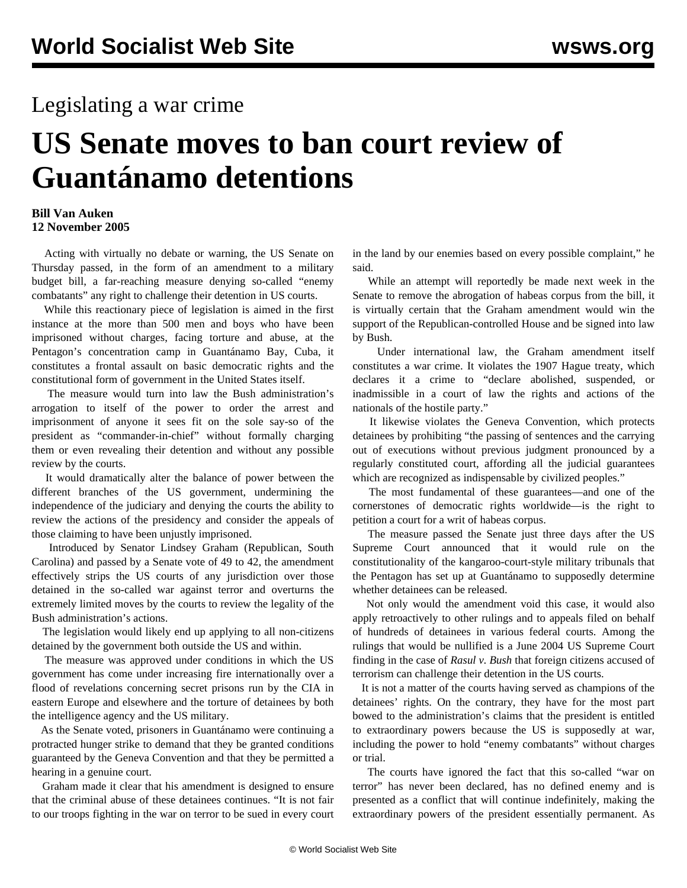## Legislating a war crime

## **US Senate moves to ban court review of Guantánamo detentions**

## **Bill Van Auken 12 November 2005**

 Acting with virtually no debate or warning, the US Senate on Thursday passed, in the form of an amendment to a military budget bill, a far-reaching measure denying so-called "enemy combatants" any right to challenge their detention in US courts.

 While this reactionary piece of legislation is aimed in the first instance at the more than 500 men and boys who have been imprisoned without charges, facing torture and abuse, at the Pentagon's concentration camp in Guantánamo Bay, Cuba, it constitutes a frontal assault on basic democratic rights and the constitutional form of government in the United States itself.

 The measure would turn into law the Bush administration's arrogation to itself of the power to order the arrest and imprisonment of anyone it sees fit on the sole say-so of the president as "commander-in-chief" without formally charging them or even revealing their detention and without any possible review by the courts.

 It would dramatically alter the balance of power between the different branches of the US government, undermining the independence of the judiciary and denying the courts the ability to review the actions of the presidency and consider the appeals of those claiming to have been unjustly imprisoned.

 Introduced by Senator Lindsey Graham (Republican, South Carolina) and passed by a Senate vote of 49 to 42, the amendment effectively strips the US courts of any jurisdiction over those detained in the so-called war against terror and overturns the extremely limited moves by the courts to review the legality of the Bush administration's actions.

 The legislation would likely end up applying to all non-citizens detained by the government both outside the US and within.

 The measure was approved under conditions in which the US government has come under increasing fire internationally over a flood of revelations concerning secret prisons run by the CIA in eastern Europe and elsewhere and the torture of detainees by both the intelligence agency and the US military.

 As the Senate voted, prisoners in Guantánamo were continuing a protracted hunger strike to demand that they be granted conditions guaranteed by the Geneva Convention and that they be permitted a hearing in a genuine court.

 Graham made it clear that his amendment is designed to ensure that the criminal abuse of these detainees continues. "It is not fair to our troops fighting in the war on terror to be sued in every court in the land by our enemies based on every possible complaint," he said.

 While an attempt will reportedly be made next week in the Senate to remove the abrogation of habeas corpus from the bill, it is virtually certain that the Graham amendment would win the support of the Republican-controlled House and be signed into law by Bush.

 Under international law, the Graham amendment itself constitutes a war crime. It violates the 1907 Hague treaty, which declares it a crime to "declare abolished, suspended, or inadmissible in a court of law the rights and actions of the nationals of the hostile party."

 It likewise violates the Geneva Convention, which protects detainees by prohibiting "the passing of sentences and the carrying out of executions without previous judgment pronounced by a regularly constituted court, affording all the judicial guarantees which are recognized as indispensable by civilized peoples."

 The most fundamental of these guarantees—and one of the cornerstones of democratic rights worldwide—is the right to petition a court for a writ of habeas corpus.

 The measure passed the Senate just three days after the US Supreme Court announced that it would rule on the constitutionality of the kangaroo-court-style military tribunals that the Pentagon has set up at Guantánamo to supposedly determine whether detainees can be released.

 Not only would the amendment void this case, it would also apply retroactively to other rulings and to appeals filed on behalf of hundreds of detainees in various federal courts. Among the rulings that would be nullified is a June 2004 US Supreme Court finding in the case of *Rasul v. Bush* that foreign citizens accused of terrorism can challenge their detention in the US courts.

 It is not a matter of the courts having served as champions of the detainees' rights. On the contrary, they have for the most part bowed to the administration's claims that the president is entitled to extraordinary powers because the US is supposedly at war, including the power to hold "enemy combatants" without charges or trial.

 The courts have ignored the fact that this so-called "war on terror" has never been declared, has no defined enemy and is presented as a conflict that will continue indefinitely, making the extraordinary powers of the president essentially permanent. As